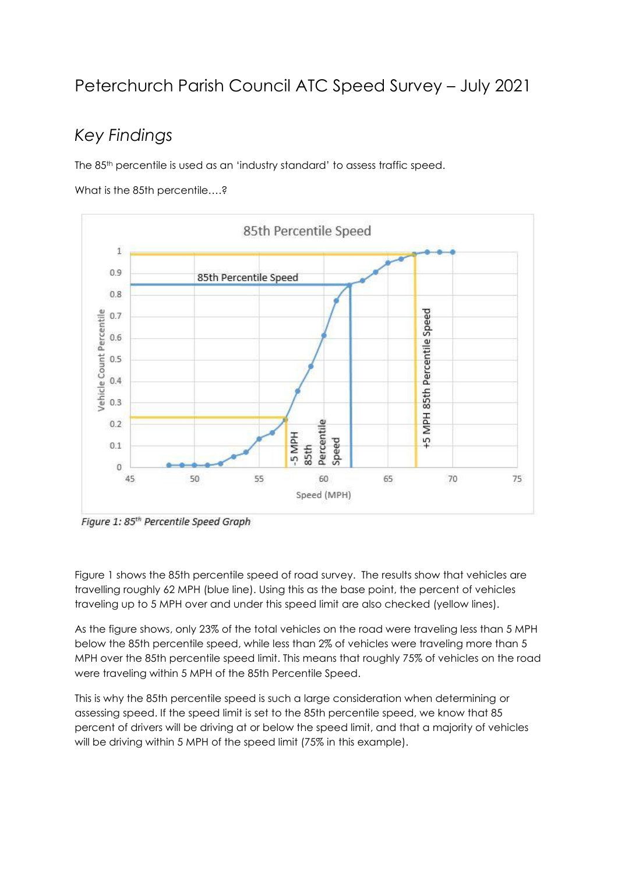# Peterchurch Parish Council ATC Speed Survey – July 2021

# *Key Findings*

The 85th percentile is used as an 'industry standard' to assess traffic speed.

What is the 85th percentile....?



Figure 1: 85<sup>th</sup> Percentile Speed Graph

Figure 1 shows the 85th percentile speed of road survey. The results show that vehicles are travelling roughly 62 MPH (blue line). Using this as the base point, the percent of vehicles traveling up to 5 MPH over and under this speed limit are also checked (yellow lines).

As the figure shows, only 23% of the total vehicles on the road were traveling less than 5 MPH below the 85th percentile speed, while less than 2% of vehicles were traveling more than 5 MPH over the 85th percentile speed limit. This means that roughly 75% of vehicles on the road were traveling within 5 MPH of the 85th Percentile Speed.

This is why the 85th percentile speed is such a large consideration when determining or assessing speed. If the speed limit is set to the 85th percentile speed, we know that 85 percent of drivers will be driving at or below the speed limit, and that a majority of vehicles will be driving within 5 MPH of the speed limit (75% in this example).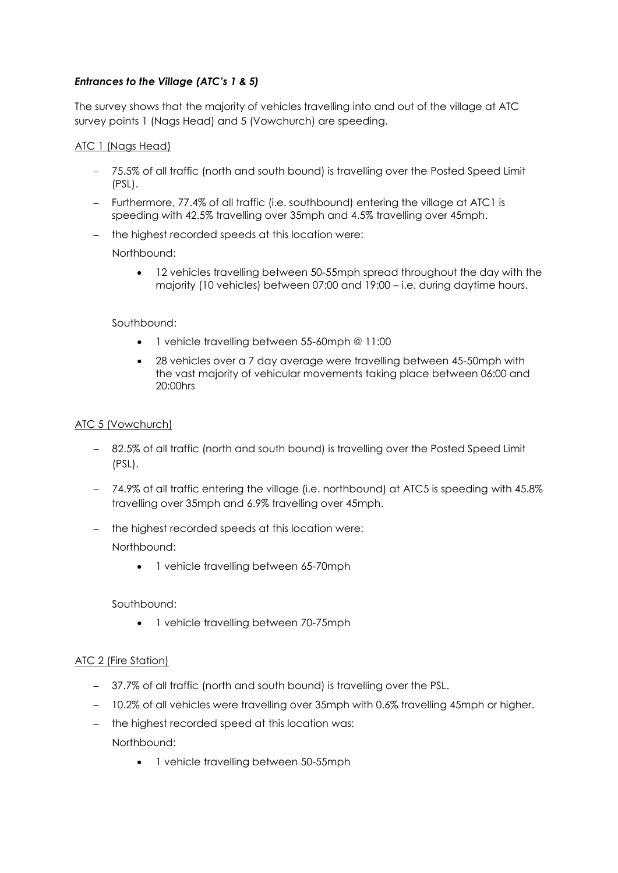## *Entrances to the Village (ATC's 1 & 5)*

The survey shows that the majority of vehicles travelling into and out of the village at ATC survey points 1 (Nags Head) and 5 (Vowchurch) are speeding.

#### ATC 1 (Nags Head)

- 75.5% of all traffic (north and south bound) is travelling over the Posted Speed Limit (PSL).
- Furthermore, 77.4% of all traffic (i.e. southbound) entering the village at ATC1 is speeding with 42.5% travelling over 35mph and 4.5% travelling over 45mph.
- the highest recorded speeds at this location were:

Northbound:

 12 vehicles travelling between 50-55mph spread throughout the day with the majority (10 vehicles) between 07:00 and 19:00 – i.e. during daytime hours.

#### Southbound:

- 1 vehicle travelling between 55-60mph @ 11:00
- 28 vehicles over a 7 day average were travelling between 45-50mph with the vast majority of vehicular movements taking place between 06:00 and 20:00hrs

#### ATC 5 (Vowchurch)

- 82.5% of all traffic (north and south bound) is travelling over the Posted Speed Limit (PSL).
- 74.9% of all traffic entering the village (i.e. northbound) at ATC5 is speeding with 45.8% travelling over 35mph and 6.9% travelling over 45mph.
- the highest recorded speeds at this location were:

Northbound:

• 1 vehicle travelling between 65-70mph

Southbound:

• 1 vehicle travelling between 70-75mph

### ATC 2 (Fire Station)

- 37.7% of all traffic (north and south bound) is travelling over the PSL.
- 10.2% of all vehicles were travelling over 35mph with 0.6% travelling 45mph or higher.
- the highest recorded speed at this location was:

Northbound:

• 1 vehicle travelling between 50-55mph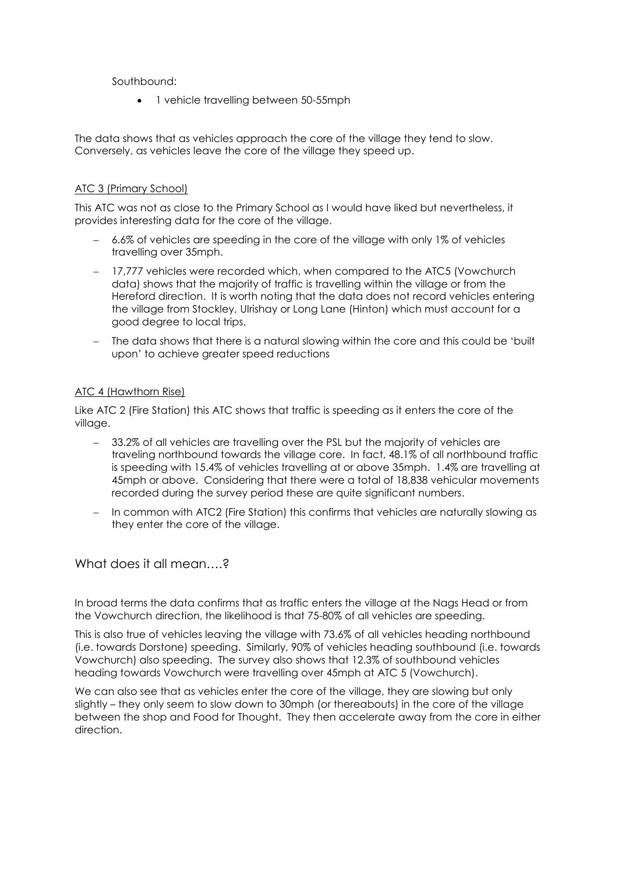Southbound:

• 1 vehicle travelling between 50-55mph

The data shows that as vehicles approach the core of the village they tend to slow. Conversely, as vehicles leave the core of the village they speed up.

#### ATC 3 (Primary School)

This ATC was not as close to the Primary School as I would have liked but nevertheless, it provides interesting data for the core of the village.

- 6.6% of vehicles are speeding in the core of the village with only 1% of vehicles travelling over 35mph.
- 17,777 vehicles were recorded which, when compared to the ATC5 (Vowchurch data) shows that the majority of traffic is travelling within the village or from the Hereford direction. It is worth noting that the data does not record vehicles entering the village from Stockley, UIrishay or Long Lane (Hinton) which must account for a good degree to local trips.
- The data shows that there is a natural slowing within the core and this could be 'built upon' to achieve greater speed reductions

#### ATC 4 (Hawthorn Rise)

Like ATC 2 (Fire Station) this ATC shows that traffic is speeding as it enters the core of the village.

- 33.2% of all vehicles are travelling over the PSL but the majority of vehicles are traveling northbound towards the village core. In fact, 48.1% of all northbound traffic is speeding with 15.4% of vehicles travelling at or above 35mph. 1.4% are travelling at 45mph or above. Considering that there were a total of 18,838 vehicular movements recorded during the survey period these are quite significant numbers.
- In common with ATC2 (Fire Station) this confirms that vehicles are naturally slowing as they enter the core of the village.

What does it all mean….?

In broad terms the data confirms that as traffic enters the village at the Nags Head or from the Vowchurch direction, the likelihood is that 75-80% of all vehicles are speeding.

This is also true of vehicles leaving the village with 73.6% of all vehicles heading northbound (i.e. towards Dorstone) speeding. Similarly, 90% of vehicles heading southbound (i.e. towards Vowchurch) also speeding. The survey also shows that 12.3% of southbound vehicles heading towards Vowchurch were travelling over 45mph at ATC 5 (Vowchurch).

We can also see that as vehicles enter the core of the village, they are slowing but only slightly – they only seem to slow down to 30mph (or thereabouts) in the core of the village between the shop and Food for Thought. They then accelerate away from the core in either direction.